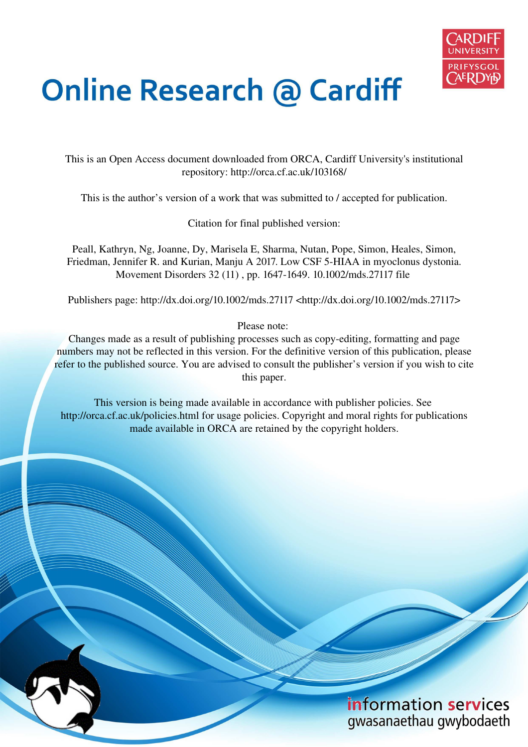

# **Online Research @ Cardiff**

This is an Open Access document downloaded from ORCA, Cardiff University's institutional repository: http://orca.cf.ac.uk/103168/

This is the author's version of a work that was submitted to / accepted for publication.

Citation for final published version:

Peall, Kathryn, Ng, Joanne, Dy, Marisela E, Sharma, Nutan, Pope, Simon, Heales, Simon, Friedman, Jennifer R. and Kurian, Manju A 2017. Low CSF 5-HIAA in myoclonus dystonia. Movement Disorders 32 (11) , pp. 1647-1649. 10.1002/mds.27117 file

Publishers page: http://dx.doi.org/10.1002/mds.27117 <http://dx.doi.org/10.1002/mds.27117>

Please note:

Changes made as a result of publishing processes such as copy-editing, formatting and page numbers may not be reflected in this version. For the definitive version of this publication, please refer to the published source. You are advised to consult the publisher's version if you wish to cite this paper.

This version is being made available in accordance with publisher policies. See http://orca.cf.ac.uk/policies.html for usage policies. Copyright and moral rights for publications made available in ORCA are retained by the copyright holders.

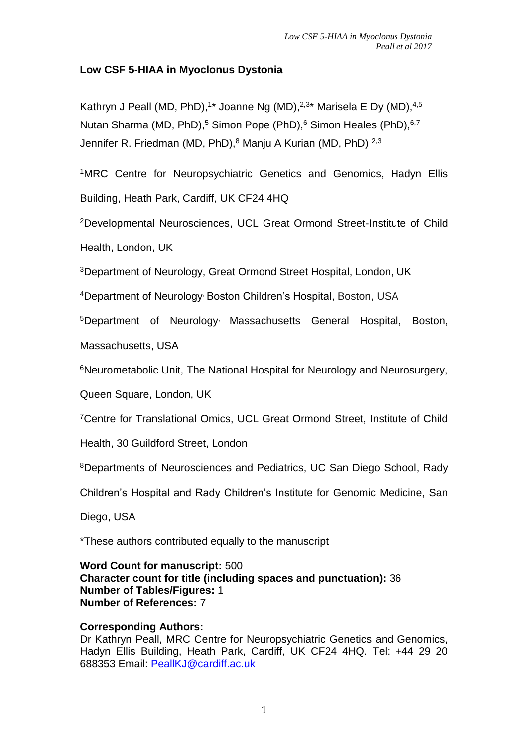# **Low CSF 5-HIAA in Myoclonus Dystonia**

Kathryn J Peall (MD, PhD),<sup>1</sup>\* Joanne Ng (MD),<sup>2,3</sup>\* Marisela E Dy (MD),<sup>4,5</sup> Nutan Sharma (MD, PhD),<sup>5</sup> Simon Pope (PhD),<sup>6</sup> Simon Heales (PhD),<sup>6,7</sup> Jennifer R. Friedman (MD, PhD),<sup>8</sup> Manju A Kurian (MD, PhD) <sup>2,3</sup>

<sup>1</sup>MRC Centre for Neuropsychiatric Genetics and Genomics, Hadyn Ellis Building, Heath Park, Cardiff, UK CF24 4HQ

<sup>2</sup>Developmental Neurosciences, UCL Great Ormond Street-Institute of Child Health, London, UK

<sup>3</sup>Department of Neurology, Great Ormond Street Hospital, London, UK

<sup>4</sup>Department of Neurology, Boston Children's Hospital, Boston, USA

<sup>5</sup>Department of Neurology, Massachusetts General Hospital, Boston,

Massachusetts, USA

<sup>6</sup>Neurometabolic Unit, The National Hospital for Neurology and Neurosurgery,

Queen Square, London, UK

<sup>7</sup>Centre for Translational Omics, UCL Great Ormond Street, Institute of Child

Health, 30 Guildford Street, London

<sup>8</sup>Departments of Neurosciences and Pediatrics, UC San Diego School, Rady

Children's Hospital and Rady Children's Institute for Genomic Medicine, San

Diego, USA

\*These authors contributed equally to the manuscript

**Word Count for manuscript:** 500 **Character count for title (including spaces and punctuation):** 36 **Number of Tables/Figures:** 1 **Number of References:** 7

# **Corresponding Authors:**

Dr Kathryn Peall, MRC Centre for Neuropsychiatric Genetics and Genomics, Hadyn Ellis Building, Heath Park, Cardiff, UK CF24 4HQ. Tel: +44 29 20 688353 Email: [PeallKJ@cardiff.ac.uk](mailto:PeallKJ@cardiff.ac.uk)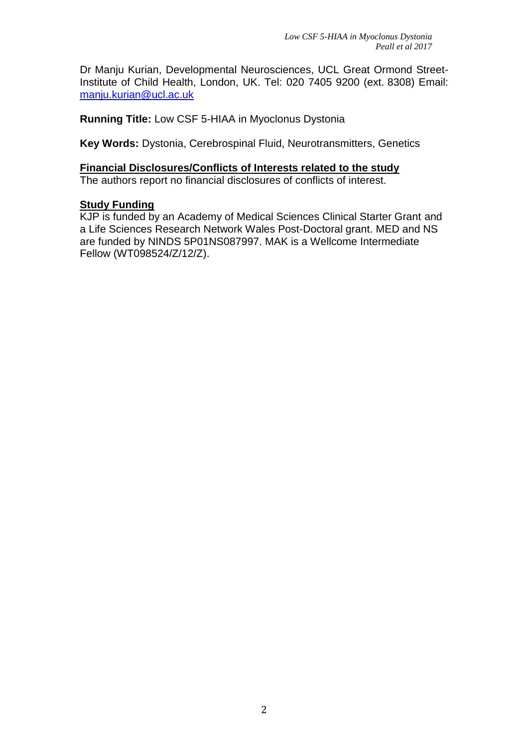Dr Manju Kurian, Developmental Neurosciences, UCL Great Ormond Street-Institute of Child Health, London, UK. Tel: 020 7405 9200 (ext. 8308) Email: [manju.kurian@ucl.ac.uk](mailto:manju.kurian@ucl.ac.uk)

**Running Title:** Low CSF 5-HIAA in Myoclonus Dystonia

**Key Words:** Dystonia, Cerebrospinal Fluid, Neurotransmitters, Genetics

#### **Financial Disclosures/Conflicts of Interests related to the study**  The authors report no financial disclosures of conflicts of interest.

# **Study Funding**

KJP is funded by an Academy of Medical Sciences Clinical Starter Grant and a Life Sciences Research Network Wales Post-Doctoral grant. MED and NS are funded by NINDS 5P01NS087997. MAK is a Wellcome Intermediate Fellow (WT098524/Z/12/Z).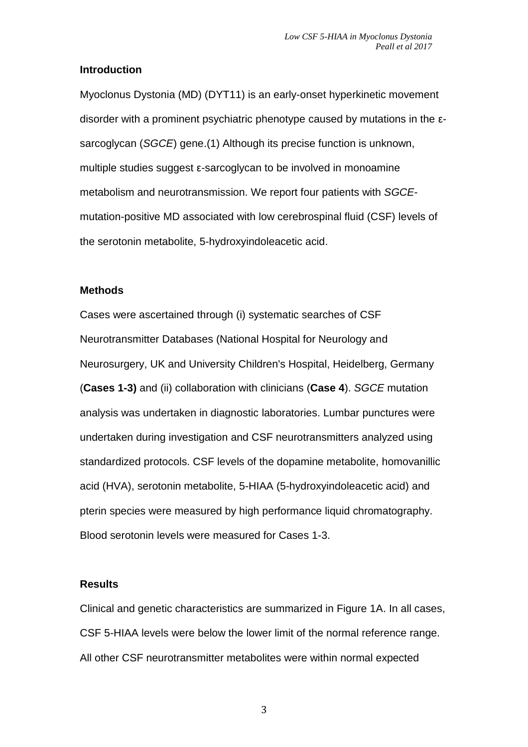#### **Introduction**

Myoclonus Dystonia (MD) (DYT11) is an early-onset hyperkinetic movement disorder with a prominent psychiatric phenotype caused by mutations in the εsarcoglycan (SGCE) gene.(1) Although its precise function is unknown, multiple studies suggest ε-sarcoglycan to be involved in monoamine metabolism and neurotransmission. We report four patients with SGCEmutation-positive MD associated with low cerebrospinal fluid (CSF) levels of the serotonin metabolite, 5-hydroxyindoleacetic acid.

#### **Methods**

Cases were ascertained through (i) systematic searches of CSF Neurotransmitter Databases (National Hospital for Neurology and Neurosurgery, UK and University Children's Hospital, Heidelberg, Germany (**Cases 1-3)** and (ii) collaboration with clinicians (**Case 4**). SGCE mutation analysis was undertaken in diagnostic laboratories. Lumbar punctures were undertaken during investigation and CSF neurotransmitters analyzed using standardized protocols. CSF levels of the dopamine metabolite, homovanillic acid (HVA), serotonin metabolite, 5-HIAA (5-hydroxyindoleacetic acid) and pterin species were measured by high performance liquid chromatography. Blood serotonin levels were measured for Cases 1-3.

#### **Results**

Clinical and genetic characteristics are summarized in Figure 1A. In all cases, CSF 5-HIAA levels were below the lower limit of the normal reference range. All other CSF neurotransmitter metabolites were within normal expected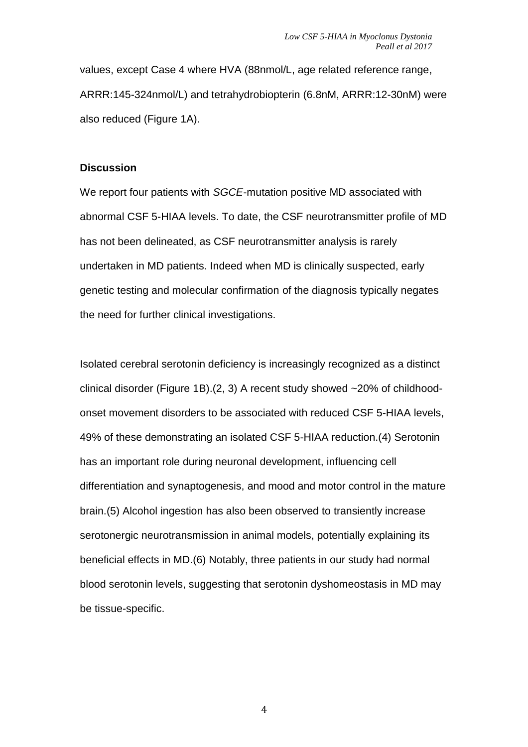values, except Case 4 where HVA (88nmol/L, age related reference range, ARRR:145-324nmol/L) and tetrahydrobiopterin (6.8nM, ARRR:12-30nM) were also reduced (Figure 1A).

#### **Discussion**

We report four patients with SGCE-mutation positive MD associated with abnormal CSF 5-HIAA levels. To date, the CSF neurotransmitter profile of MD has not been delineated, as CSF neurotransmitter analysis is rarely undertaken in MD patients. Indeed when MD is clinically suspected, early genetic testing and molecular confirmation of the diagnosis typically negates the need for further clinical investigations.

Isolated cerebral serotonin deficiency is increasingly recognized as a distinct clinical disorder (Figure 1B).(2, 3) A recent study showed ~20% of childhoodonset movement disorders to be associated with reduced CSF 5-HIAA levels, 49% of these demonstrating an isolated CSF 5-HIAA reduction.(4) Serotonin has an important role during neuronal development, influencing cell differentiation and synaptogenesis, and mood and motor control in the mature brain.(5) Alcohol ingestion has also been observed to transiently increase serotonergic neurotransmission in animal models, potentially explaining its beneficial effects in MD.(6) Notably, three patients in our study had normal blood serotonin levels, suggesting that serotonin dyshomeostasis in MD may be tissue-specific.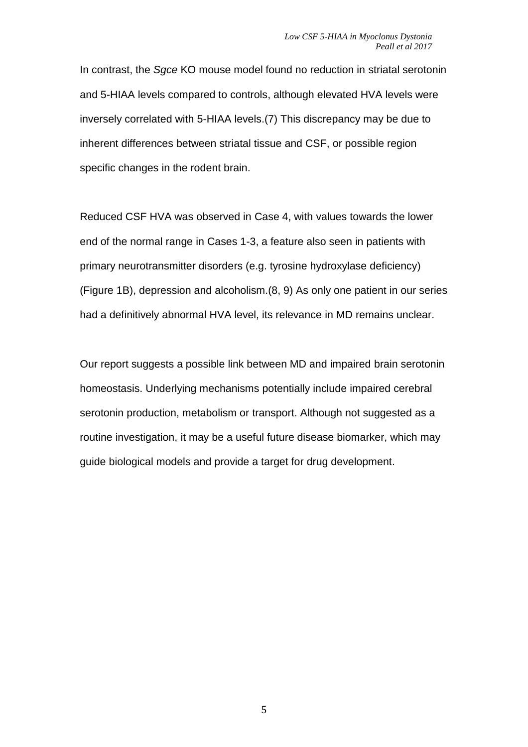In contrast, the Sgce KO mouse model found no reduction in striatal serotonin and 5-HIAA levels compared to controls, although elevated HVA levels were inversely correlated with 5-HIAA levels.(7) This discrepancy may be due to inherent differences between striatal tissue and CSF, or possible region specific changes in the rodent brain.

Reduced CSF HVA was observed in Case 4, with values towards the lower end of the normal range in Cases 1-3, a feature also seen in patients with primary neurotransmitter disorders (e.g. tyrosine hydroxylase deficiency) (Figure 1B), depression and alcoholism.(8, 9) As only one patient in our series had a definitively abnormal HVA level, its relevance in MD remains unclear.

Our report suggests a possible link between MD and impaired brain serotonin homeostasis. Underlying mechanisms potentially include impaired cerebral serotonin production, metabolism or transport. Although not suggested as a routine investigation, it may be a useful future disease biomarker, which may guide biological models and provide a target for drug development.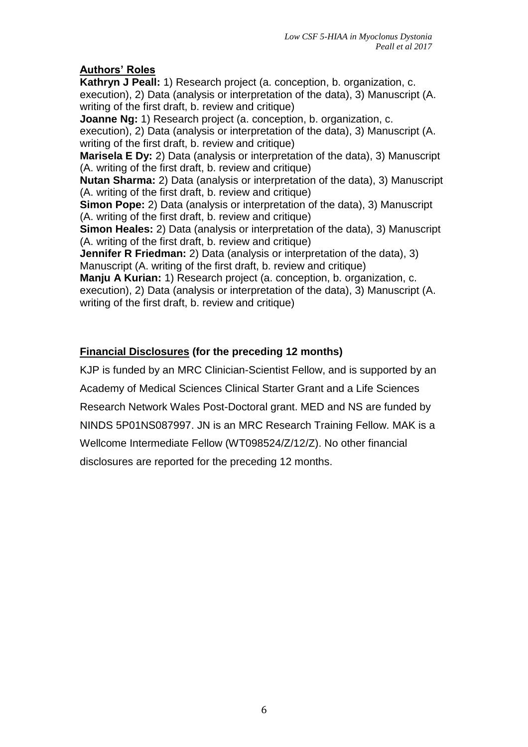# **Authors' Roles**

**Kathryn J Peall:** 1) Research project (a. conception, b. organization, c. execution), 2) Data (analysis or interpretation of the data), 3) Manuscript (A. writing of the first draft, b. review and critique)

**Joanne Ng:** 1) Research project (a. conception, b. organization, c. execution), 2) Data (analysis or interpretation of the data), 3) Manuscript (A. writing of the first draft, b. review and critique) **Marisela E Dy:** 2) Data (analysis or interpretation of the data), 3) Manuscript (A. writing of the first draft, b. review and critique) **Nutan Sharma:** 2) Data (analysis or interpretation of the data), 3) Manuscript (A. writing of the first draft, b. review and critique) **Simon Pope:** 2) Data (analysis or interpretation of the data), 3) Manuscript (A. writing of the first draft, b. review and critique) **Simon Heales:** 2) Data (analysis or interpretation of the data), 3) Manuscript (A. writing of the first draft, b. review and critique) **Jennifer R Friedman:** 2) Data (analysis or interpretation of the data), 3) Manuscript (A. writing of the first draft, b. review and critique) **Manju A Kurian:** 1) Research project (a. conception, b. organization, c. execution), 2) Data (analysis or interpretation of the data), 3) Manuscript (A. writing of the first draft, b. review and critique)

# **Financial Disclosures (for the preceding 12 months)**

KJP is funded by an MRC Clinician-Scientist Fellow, and is supported by an Academy of Medical Sciences Clinical Starter Grant and a Life Sciences Research Network Wales Post-Doctoral grant. MED and NS are funded by NINDS 5P01NS087997. JN is an MRC Research Training Fellow. MAK is a Wellcome Intermediate Fellow (WT098524/Z/12/Z). No other financial disclosures are reported for the preceding 12 months.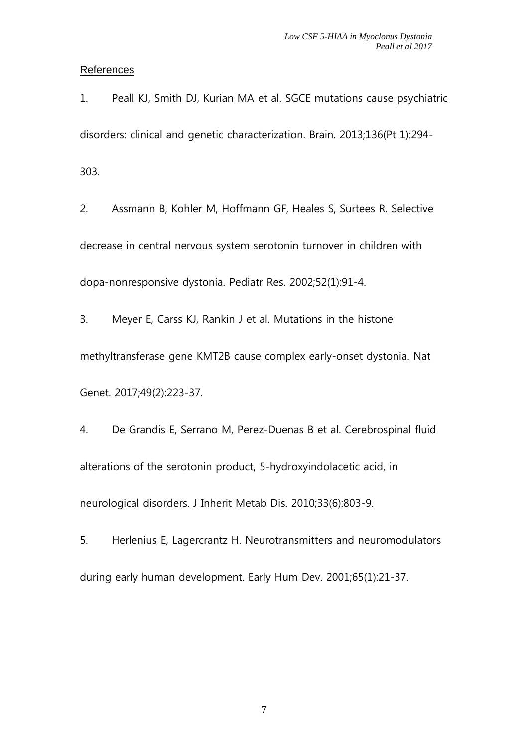#### **References**

1. Peall KJ, Smith DJ, Kurian MA et al. SGCE mutations cause psychiatric disorders: clinical and genetic characterization. Brain. 2013;136(Pt 1):294- 303.

2. Assmann B, Kohler M, Hoffmann GF, Heales S, Surtees R. Selective decrease in central nervous system serotonin turnover in children with dopa-nonresponsive dystonia. Pediatr Res. 2002;52(1):91-4.

3. Meyer E, Carss KJ, Rankin J et al. Mutations in the histone methyltransferase gene KMT2B cause complex early-onset dystonia. Nat Genet. 2017;49(2):223-37.

4. De Grandis E, Serrano M, Perez-Duenas B et al. Cerebrospinal fluid alterations of the serotonin product, 5-hydroxyindolacetic acid, in neurological disorders. J Inherit Metab Dis. 2010;33(6):803-9.

5. Herlenius E, Lagercrantz H. Neurotransmitters and neuromodulators during early human development. Early Hum Dev. 2001;65(1):21-37.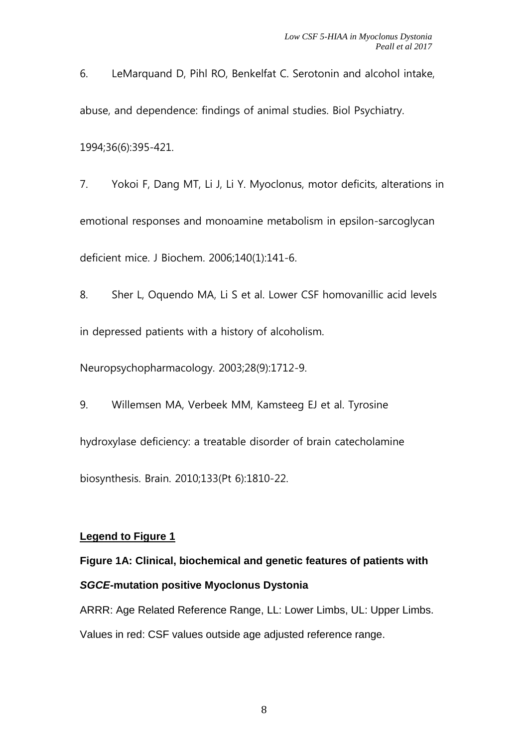6. LeMarquand D, Pihl RO, Benkelfat C. Serotonin and alcohol intake, abuse, and dependence: findings of animal studies. Biol Psychiatry.

1994;36(6):395-421.

7. Yokoi F, Dang MT, Li J, Li Y. Myoclonus, motor deficits, alterations in emotional responses and monoamine metabolism in epsilon-sarcoglycan deficient mice. J Biochem. 2006;140(1):141-6.

8. Sher L, Oquendo MA, Li S et al. Lower CSF homovanillic acid levels in depressed patients with a history of alcoholism.

Neuropsychopharmacology. 2003;28(9):1712-9.

9. Willemsen MA, Verbeek MM, Kamsteeg EJ et al. Tyrosine

hydroxylase deficiency: a treatable disorder of brain catecholamine

biosynthesis. Brain. 2010;133(Pt 6):1810-22.

#### **Legend to Figure 1**

# **Figure 1A: Clinical, biochemical and genetic features of patients with SGCE-mutation positive Myoclonus Dystonia**

ARRR: Age Related Reference Range, LL: Lower Limbs, UL: Upper Limbs. Values in red: CSF values outside age adjusted reference range.